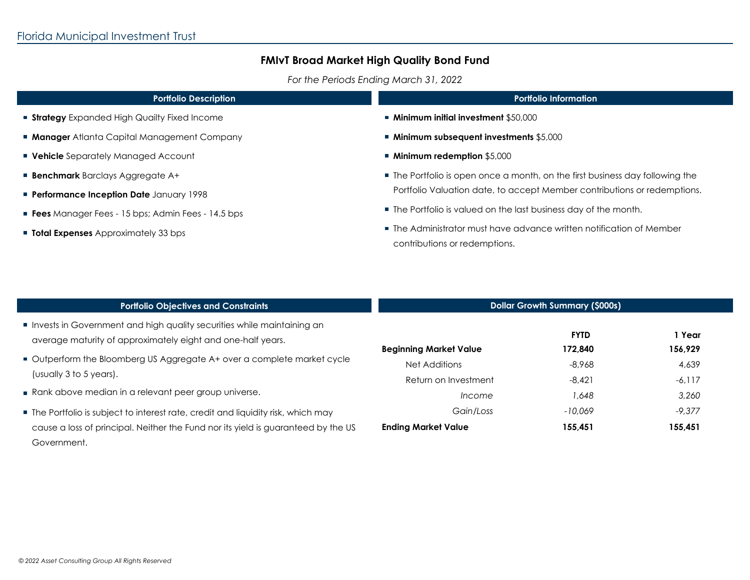ı

 $\mathbf{r}$ 

 $\mathcal{L}_{\mathcal{A}}$ 

 $\overline{\phantom{a}}$ 

# **FMIvT Broad Market High Quality Bond Fund**

*For the Periods Ending March 31, 2022*

| <b>Portfolio Description</b>                             | <b>Portfolio Information</b>                                                                                                                                                                                                                                                                                                           |  |  |
|----------------------------------------------------------|----------------------------------------------------------------------------------------------------------------------------------------------------------------------------------------------------------------------------------------------------------------------------------------------------------------------------------------|--|--|
| <b>Strategy</b> Expanded High Quailty Fixed Income       | ■ Minimum initial investment \$50,000                                                                                                                                                                                                                                                                                                  |  |  |
| <b>Manager</b> Atlanta Capital Management Company        | $\blacksquare$ Minimum subsequent investments \$5,000                                                                                                                                                                                                                                                                                  |  |  |
| <b>• Vehicle</b> Separately Managed Account              | ■ Minimum redemption \$5,000                                                                                                                                                                                                                                                                                                           |  |  |
| <b>Benchmark</b> Barclays Aggregate A+                   | • The Portfolio is open once a month, on the first business day following the<br>Portfolio Valuation date, to accept Member contributions or redemptions.<br>■ The Portfolio is valued on the last business day of the month.<br>■ The Administrator must have advance written notification of Member<br>contributions or redemptions. |  |  |
| Performance Inception Date January 1998                  |                                                                                                                                                                                                                                                                                                                                        |  |  |
| <b>Fees</b> Manager Fees - 15 bps; Admin Fees - 14.5 bps |                                                                                                                                                                                                                                                                                                                                        |  |  |
| <b>Total Expenses</b> Approximately 33 bps               |                                                                                                                                                                                                                                                                                                                                        |  |  |
|                                                          |                                                                                                                                                                                                                                                                                                                                        |  |  |
|                                                          |                                                                                                                                                                                                                                                                                                                                        |  |  |

| <b>Portfolio Objectives and Constraints</b>                                       | <b>Dollar Growth Summary (\$000s)</b> |             |          |
|-----------------------------------------------------------------------------------|---------------------------------------|-------------|----------|
| Invests in Government and high quality securities while maintaining an            | <b>Beginning Market Value</b>         | <b>FYTD</b> | 1 Year   |
| average maturity of approximately eight and one-half years.                       |                                       | 172.840     | 156,929  |
| Outperform the Bloomberg US Aggregate A+ over a complete market cycle             | Net Additions                         | $-8.968$    | 4,639    |
| (usually 3 to 5 years).                                                           | Return on Investment                  | $-8.421$    | $-6,117$ |
| Rank above median in a relevant peer group universe.                              | Income                                | 1.648       | 3,260    |
| The Portfolio is subject to interest rate, credit and liquidity risk, which may   | Gain/Loss                             | $-10.069$   | $-9.377$ |
| cause a loss of principal. Neither the Fund nor its yield is guaranteed by the US | <b>Ending Market Value</b>            | 155,451     | 155,451  |
| Government.                                                                       |                                       |             |          |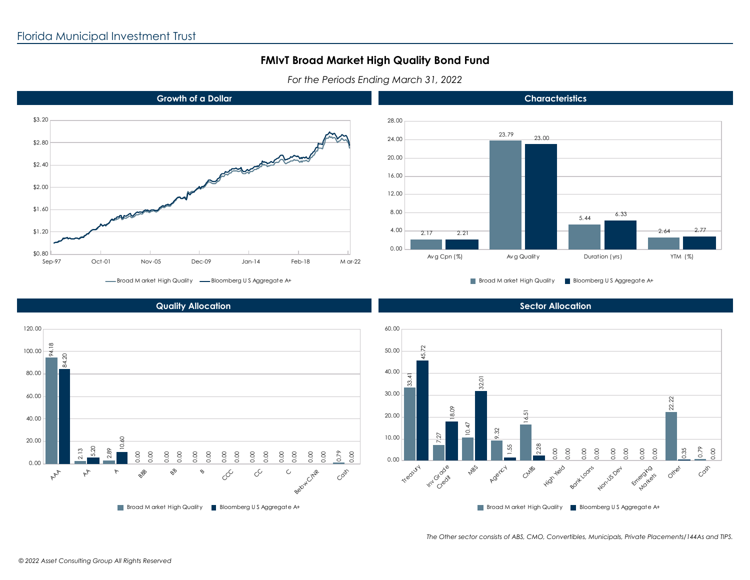## **FMIvT Broad Market High Quality Bond Fund**

*For the Periods Ending March 31, 2022*





**Growth of a Dollar**

Broad M arket High Quality Bloomberg U S Aggregate A+

#### **Quality Allocation**

Broad M arket High Quality -Bloomberg U S Aggregate A+



*The Other sector consists of ABS, CMO, Convertibles, Municipals, Private Placements/144As and TIPS.*

**Sector Allocation**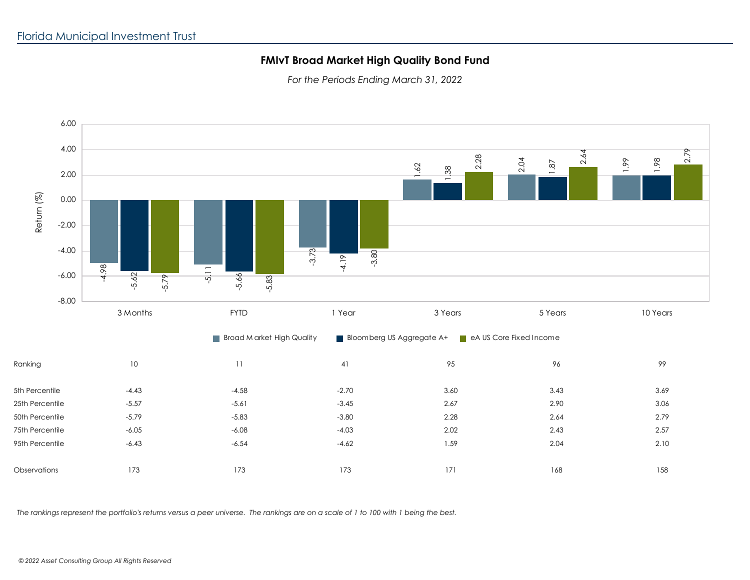### **FMIvT Broad Market High Quality Bond Fund**

*For the Periods Ending March 31, 2022*



*The rankings represent the portfolio's returns versus a peer universe. The rankings are on a scale of 1 to 100 with 1 being the best.*